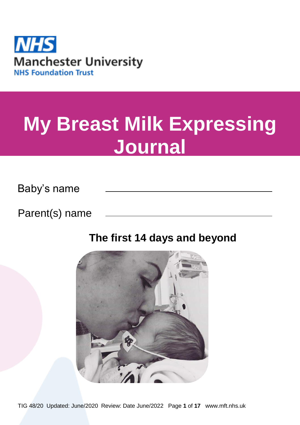

# **My Breast Milk Expressing Journal**

Baby's name

Parent(s) name

## **The first 14 days and beyond**

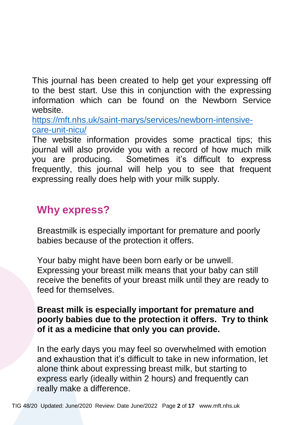This journal has been created to help get your expressing off to the best start. Use this in conjunction with the expressing information which can be found on the Newborn Service website.

[https://mft.nhs.uk/saint-marys/services/newborn-intensive](https://mft.nhs.uk/saint-marys/services/newborn-intensive-care-unit-nicu/)[care-unit-nicu/](https://mft.nhs.uk/saint-marys/services/newborn-intensive-care-unit-nicu/)

The website information provides some practical tips; this journal will also provide you with a record of how much milk you are producing. Sometimes it's difficult to express frequently, this journal will help you to see that frequent expressing really does help with your milk supply.

## **Why express?**

Breastmilk is especially important for premature and poorly babies because of the protection it offers.

Your baby might have been born early or be unwell. Expressing your breast milk means that your baby can still receive the benefits of your breast milk until they are ready to feed for themselves.

#### **Breast milk is especially important for premature and poorly babies due to the protection it offers. Try to think of it as a medicine that only you can provide.**

In the early days you may feel so overwhelmed with emotion and exhaustion that it's difficult to take in new information, let alone think about expressing breast milk, but starting to express early (ideally within 2 hours) and frequently can really make a difference.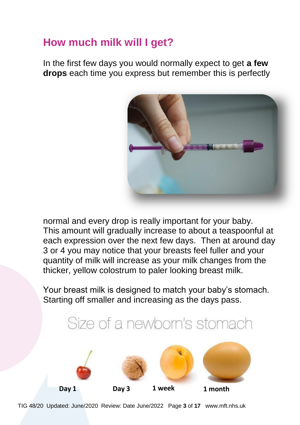## **How much milk will I get?**

In the first few days you would normally expect to get **a few drops** each time you express but remember this is perfectly



normal and every drop is really important for your baby. This amount will gradually increase to about a teaspoonful at each expression over the next few days. Then at around day 3 or 4 you may notice that your breasts feel fuller and your quantity of milk will increase as your milk changes from the thicker, yellow colostrum to paler looking breast milk.

Your breast milk is designed to match your baby's stomach. Starting off smaller and increasing as the days pass.

## Size of a newborn's stomach



TIG 48/20 Updated: June/2020 Review: Date June/2022 Page **3** of **17** www.mft.nhs.uk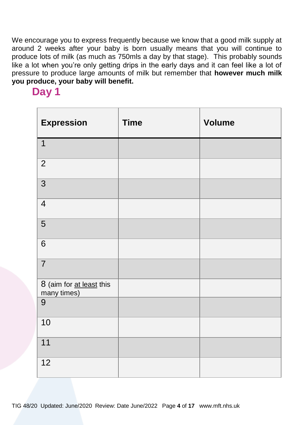We encourage you to express frequently because we know that a good milk supply at around 2 weeks after your baby is born usually means that you will continue to produce lots of milk (as much as 750mls a day by that stage). This probably sounds like a lot when you're only getting drips in the early days and it can feel like a lot of pressure to produce large amounts of milk but remember that **however much milk you produce, your baby will benefit.** 

## **Day 1**

| <b>Expression</b>                           | <b>Time</b> | <b>Volume</b> |
|---------------------------------------------|-------------|---------------|
| $\overline{1}$                              |             |               |
| $\overline{2}$                              |             |               |
| $\overline{3}$                              |             |               |
| $\overline{4}$                              |             |               |
| $\sqrt{5}$                                  |             |               |
| $\,6$                                       |             |               |
| $\overline{7}$                              |             |               |
| 8 (aim for <u>at least</u> this many times) |             |               |
| $\boldsymbol{9}$                            |             |               |
| 10                                          |             |               |
| 11                                          |             |               |
| 12                                          |             |               |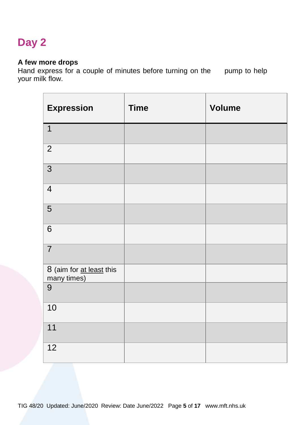#### **A few more drops**

Hand express for a couple of minutes before turning on the pump to help your milk flow.

| <b>Expression</b>                       | <b>Time</b> | <b>Volume</b> |
|-----------------------------------------|-------------|---------------|
| $\overline{1}$                          |             |               |
| $\overline{2}$                          |             |               |
| $\overline{3}$                          |             |               |
| $\overline{4}$                          |             |               |
| $\sqrt{5}$                              |             |               |
| $\,6$                                   |             |               |
| $\overline{7}$                          |             |               |
| 8 (aim for at least this<br>many times) |             |               |
| 9                                       |             |               |
| 10                                      |             |               |
| 11                                      |             |               |
| $\overline{12}$                         |             |               |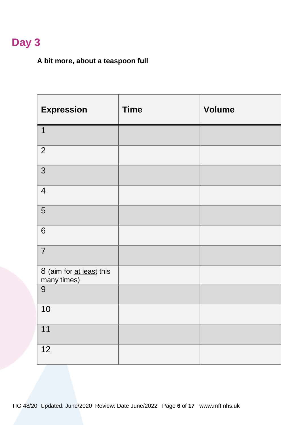#### **A bit more, about a teaspoon full**

| <b>Expression</b>                       | <b>Time</b> | <b>Volume</b> |
|-----------------------------------------|-------------|---------------|
| $\overline{1}$                          |             |               |
| $\overline{2}$                          |             |               |
| $\overline{3}$                          |             |               |
| $\overline{4}$                          |             |               |
| 5                                       |             |               |
| $\,6$                                   |             |               |
| $\overline{7}$                          |             |               |
| 8 (aim for at least this<br>many times) |             |               |
| 9                                       |             |               |
| 10                                      |             |               |
| 11                                      |             |               |
| 12                                      |             |               |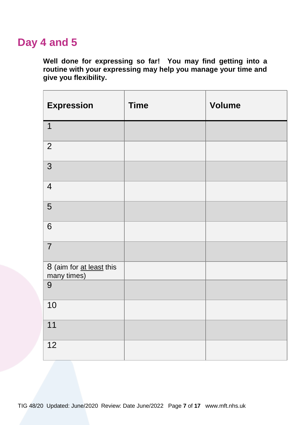## **Day 4 and 5**

**Well done for expressing so far! You may find getting into a routine with your expressing may help you manage your time and give you flexibility.** 

| <b>Expression</b>                       | <b>Time</b> | <b>Volume</b> |
|-----------------------------------------|-------------|---------------|
| $\mathbf{1}$                            |             |               |
| $\overline{2}$                          |             |               |
| 3                                       |             |               |
| $\overline{4}$                          |             |               |
| $\sqrt{5}$                              |             |               |
| $\,6$                                   |             |               |
| $\overline{7}$                          |             |               |
| 8 (aim for at least this<br>many times) |             |               |
| $\boldsymbol{9}$                        |             |               |
| 10                                      |             |               |
| 11                                      |             |               |
| $\overline{12}$                         |             |               |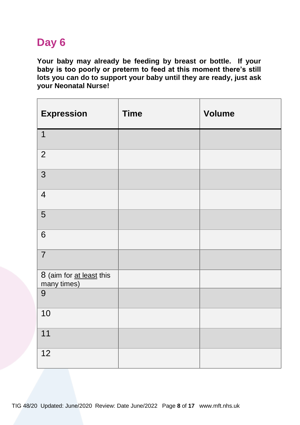**Your baby may already be feeding by breast or bottle. If your baby is too poorly or preterm to feed at this moment there's still lots you can do to support your baby until they are ready, just ask your Neonatal Nurse!** 

| <b>Expression</b>                           | <b>Time</b> | <b>Volume</b> |
|---------------------------------------------|-------------|---------------|
| $\overline{1}$                              |             |               |
| $\overline{2}$                              |             |               |
| $\overline{3}$                              |             |               |
| $\overline{4}$                              |             |               |
| $\overline{5}$                              |             |               |
| $\,6$                                       |             |               |
| $\overline{7}$                              |             |               |
| 8 (aim for <u>at least</u> this many times) |             |               |
| $\boldsymbol{9}$                            |             |               |
| 10                                          |             |               |
| 11                                          |             |               |
| 12                                          |             |               |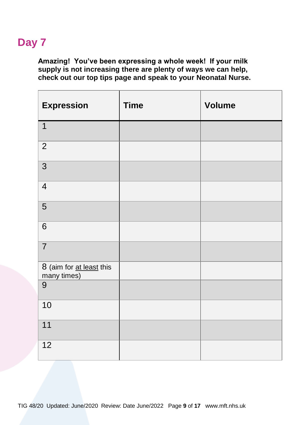**Amazing! You've been expressing a whole week! If your milk supply is not increasing there are plenty of ways we can help, check out our top tips page and speak to your Neonatal Nurse.** 

| <b>Expression</b>                       | <b>Time</b> | <b>Volume</b> |
|-----------------------------------------|-------------|---------------|
| $\mathbf 1$                             |             |               |
| $\overline{2}$                          |             |               |
| 3                                       |             |               |
| $\overline{4}$                          |             |               |
| $\sqrt{5}$                              |             |               |
| $\,6$                                   |             |               |
| $\overline{7}$                          |             |               |
| 8 (aim for at least this<br>many times) |             |               |
| $\boldsymbol{9}$                        |             |               |
| 10                                      |             |               |
| 11                                      |             |               |
| 12                                      |             |               |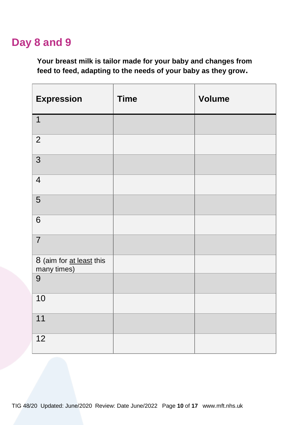## **Day 8 and 9**

**Your breast milk is tailor made for your baby and changes from feed to feed, adapting to the needs of your baby as they grow.** 

| <b>Expression</b>                       | <b>Time</b> | <b>Volume</b> |
|-----------------------------------------|-------------|---------------|
| $\mathbf 1$                             |             |               |
| $\overline{2}$                          |             |               |
| $\overline{3}$                          |             |               |
| $\overline{4}$                          |             |               |
| $\sqrt{5}$                              |             |               |
| $\,6$                                   |             |               |
| $\overline{7}$                          |             |               |
| 8 (aim for at least this<br>many times) |             |               |
| $\boldsymbol{9}$                        |             |               |
| 10                                      |             |               |
| 11                                      |             |               |
| $\overline{12}$                         |             |               |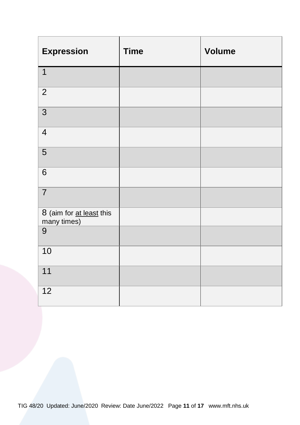| <b>Expression</b>                       | <b>Time</b> | <b>Volume</b> |
|-----------------------------------------|-------------|---------------|
| $\overline{1}$                          |             |               |
| $\overline{2}$                          |             |               |
| $\overline{3}$                          |             |               |
| $\overline{4}$                          |             |               |
| $\sqrt{5}$                              |             |               |
| $\,6$                                   |             |               |
| $\overline{7}$                          |             |               |
| 8 (aim for at least this<br>many times) |             |               |
| $\boldsymbol{9}$                        |             |               |
| 10                                      |             |               |
| 11                                      |             |               |
| $\overline{12}$                         |             |               |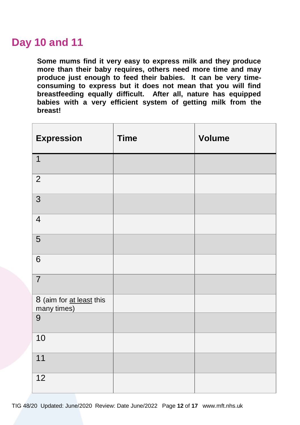## **Day 10 and 11**

**Some mums find it very easy to express milk and they produce more than their baby requires, others need more time and may produce just enough to feed their babies. It can be very timeconsuming to express but it does not mean that you will find breastfeeding equally difficult. After all, nature has equipped babies with a very efficient system of getting milk from the breast!** 

| <b>Expression</b>                           | <b>Time</b> | <b>Volume</b> |
|---------------------------------------------|-------------|---------------|
| $\mathbf{1}$                                |             |               |
| $\overline{2}$                              |             |               |
| $\overline{3}$                              |             |               |
| $\overline{4}$                              |             |               |
| 5                                           |             |               |
| 6                                           |             |               |
| $\overline{7}$                              |             |               |
| 8 (aim for <u>at least</u> this many times) |             |               |
| $\boldsymbol{9}$                            |             |               |
| 10                                          |             |               |
| 11                                          |             |               |
| 12                                          |             |               |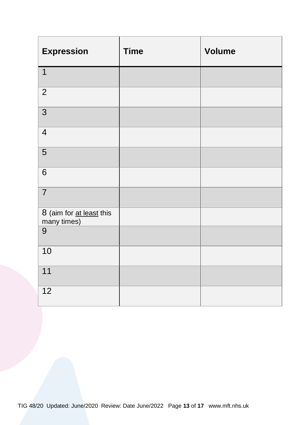| <b>Expression</b>                       | <b>Time</b> | <b>Volume</b> |
|-----------------------------------------|-------------|---------------|
| $\overline{1}$                          |             |               |
| $\overline{2}$                          |             |               |
| $\overline{3}$                          |             |               |
| $\overline{4}$                          |             |               |
| $\sqrt{5}$                              |             |               |
| $\,6$                                   |             |               |
| $\overline{7}$                          |             |               |
| 8 (aim for at least this<br>many times) |             |               |
| $\boldsymbol{9}$                        |             |               |
| 10                                      |             |               |
| 11                                      |             |               |
| $\overline{12}$                         |             |               |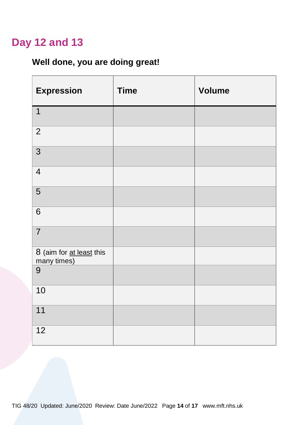## **Day 12 and 13**

#### **Well done, you are doing great!**

| <b>Expression</b>                       | <b>Time</b> | <b>Volume</b> |
|-----------------------------------------|-------------|---------------|
| $\overline{1}$                          |             |               |
| $\overline{2}$                          |             |               |
| $\overline{3}$                          |             |               |
| $\overline{4}$                          |             |               |
| $\sqrt{5}$                              |             |               |
| $\,6$                                   |             |               |
| $\overline{7}$                          |             |               |
| 8 (aim for at least this<br>many times) |             |               |
| $\boldsymbol{9}$                        |             |               |
| 10                                      |             |               |
| 11                                      |             |               |
| 12                                      |             |               |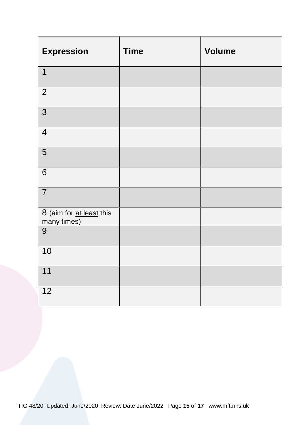| <b>Expression</b>                       | <b>Time</b> | <b>Volume</b> |
|-----------------------------------------|-------------|---------------|
| $\overline{1}$                          |             |               |
| $\overline{2}$                          |             |               |
| $\overline{3}$                          |             |               |
| $\overline{4}$                          |             |               |
| $\sqrt{5}$                              |             |               |
| $\,6$                                   |             |               |
| $\overline{7}$                          |             |               |
| 8 (aim for at least this<br>many times) |             |               |
| $\boldsymbol{9}$                        |             |               |
| 10                                      |             |               |
| 11                                      |             |               |
| $\overline{12}$                         |             |               |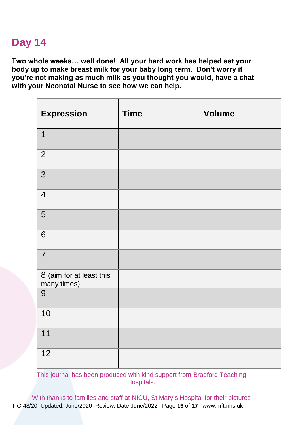**Two whole weeks… well done! All your hard work has helped set your body up to make breast milk for your baby long term. Don't worry if you're not making as much milk as you thought you would, have a chat with your Neonatal Nurse to see how we can help.** 

| <b>Expression</b>                           | <b>Time</b> | <b>Volume</b> |
|---------------------------------------------|-------------|---------------|
| $\mathbf{1}$                                |             |               |
| $\overline{2}$                              |             |               |
| $\overline{3}$                              |             |               |
| $\overline{4}$                              |             |               |
| 5                                           |             |               |
| 6                                           |             |               |
| $\overline{7}$                              |             |               |
| 8 (aim for <u>at least</u> this many times) |             |               |
| $\boldsymbol{9}$                            |             |               |
| 10                                          |             |               |
| 11                                          |             |               |
| 12                                          |             |               |

This journal has been produced with kind support from Bradford Teaching Hospitals.

TIG 48/20 Updated: June/2020 Review: Date June/2022 Page **16** of **17** www.mft.nhs.uk With thanks to families and staff at NICU, St Mary's Hospital for their pictures